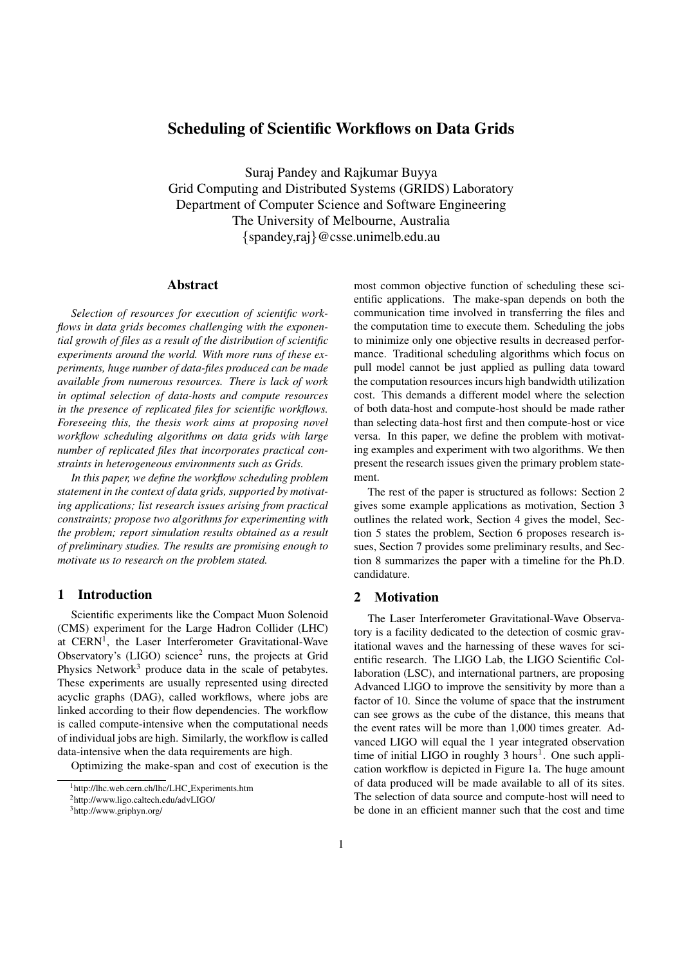# Scheduling of Scientific Workflows on Data Grids

Suraj Pandey and Rajkumar Buyya Grid Computing and Distributed Systems (GRIDS) Laboratory Department of Computer Science and Software Engineering The University of Melbourne, Australia {spandey,raj}@csse.unimelb.edu.au

# Abstract

Selection of resources for execution of scientific workflows in data grids becomes challenging with the exponential growth of files as a result of the distribution of scientific experiments around the world. With more runs of these experiments, huge number of data-files produced can be made available from numerous resources. There is lack of work in optimal selection of data-hosts and compute resources in the presence of replicated files for scientific workflows. Foreseeing this, the thesis work aims at proposing novel workflow scheduling algorithms on data grids with large number of replicated files that incorporates practical constraints in heterogeneous environments such as Grids.

In this paper, we define the workflow scheduling problem statement in the context of data grids, supported by motivating applications; list research issues arising from practical constraints; propose two algorithms for experimenting with the problem; report simulation results obtained as a result of preliminary studies. The results are promising enough to motivate us to research on the problem stated.

# 1 Introduction

Scientific experiments like the Compact Muon Solenoid (CMS) experiment for the Large Hadron Collider (LHC) at CERN<sup>1</sup>, the Laser Interferometer Gravitational-Wave Observatory's  $(LIGO)$  science<sup>2</sup> runs, the projects at Grid Physics Network<sup>3</sup> produce data in the scale of petabytes. These experiments are usually represented using directed acyclic graphs (DAG), called workflows, where jobs are linked according to their flow dependencies. The workflow is called compute-intensive when the computational needs of individual jobs are high. Similarly, the workflow is called data-intensive when the data requirements are high.

Optimizing the make-span and cost of execution is the

most common objective function of scheduling these scientific applications. The make-span depends on both the communication time involved in transferring the files and the computation time to execute them. Scheduling the jobs to minimize only one objective results in decreased performance. Traditional scheduling algorithms which focus on pull model cannot be just applied as pulling data toward the computation resources incurs high bandwidth utilization cost. This demands a different model where the selection of both data-host and compute-host should be made rather than selecting data-host first and then compute-host or vice versa. In this paper, we define the problem with motivating examples and experiment with two algorithms. We then present the research issues given the primary problem statement.

The rest of the paper is structured as follows: Section 2 gives some example applications as motivation, Section 3 outlines the related work, Section 4 gives the model, Section 5 states the problem, Section 6 proposes research issues, Section 7 provides some preliminary results, and Section 8 summarizes the paper with a timeline for the Ph.D. candidature.

## 2 Motivation

The Laser Interferometer Gravitational-Wave Observatory is a facility dedicated to the detection of cosmic gravitational waves and the harnessing of these waves for scientific research. The LIGO Lab, the LIGO Scientific Collaboration (LSC), and international partners, are proposing Advanced LIGO to improve the sensitivity by more than a factor of 10. Since the volume of space that the instrument can see grows as the cube of the distance, this means that the event rates will be more than 1,000 times greater. Advanced LIGO will equal the 1 year integrated observation time of initial LIGO in roughly  $3$  hours<sup>1</sup>. One such application workflow is depicted in Figure 1a. The huge amount of data produced will be made available to all of its sites. The selection of data source and compute-host will need to be done in an efficient manner such that the cost and time

<sup>1</sup>http://lhc.web.cern.ch/lhc/LHC Experiments.htm

<sup>2</sup>http://www.ligo.caltech.edu/advLIGO/

<sup>3</sup>http://www.griphyn.org/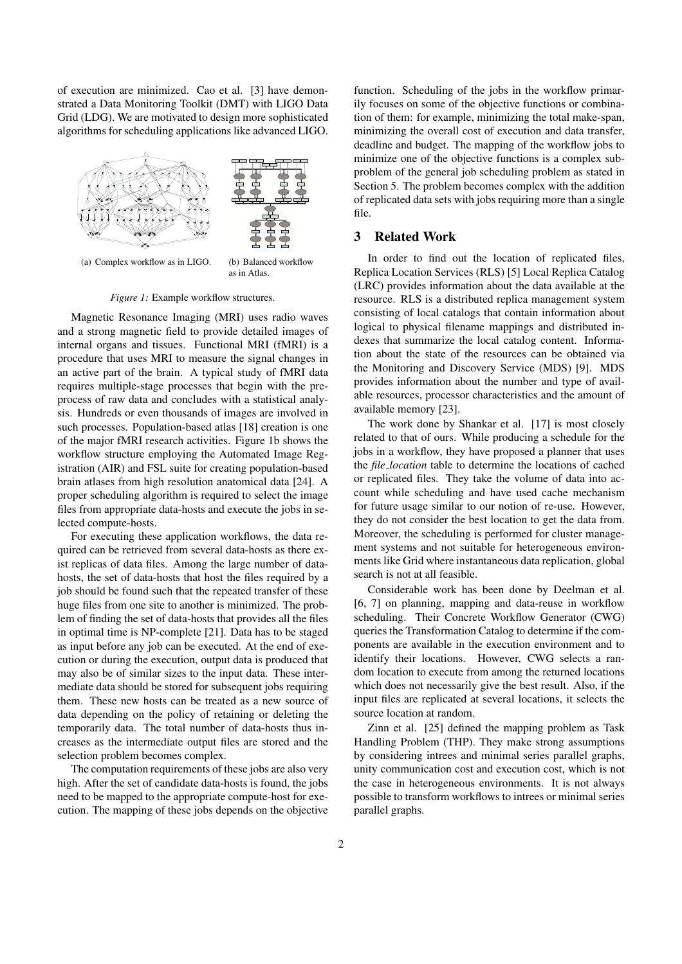of execution are minimized. Cao et al. [3] have demonstrated a Data Monitoring Toolkit (DMT) with LIGO Data Grid (LDG). We are motivated to design more sophisticated algorithms for scheduling applications like advanced LIGO.



(a) Complex workflow as in LIGO. (b) Balanced workflow

as in Atlas.

Figure 1: Example workflow structures.

Magnetic Resonance Imaging (MRI) uses radio waves and a strong magnetic field to provide detailed images of internal organs and tissues. Functional MRI (fMRI) is a procedure that uses MRI to measure the signal changes in an active part of the brain. A typical study of fMRI data requires multiple-stage processes that begin with the preprocess of raw data and concludes with a statistical analysis. Hundreds or even thousands of images are involved in such processes. Population-based atlas [18] creation is one of the major fMRI research activities. Figure 1b shows the workflow structure employing the Automated Image Registration (AIR) and FSL suite for creating population-based brain atlases from high resolution anatomical data [24]. A proper scheduling algorithm is required to select the image files from appropriate data-hosts and execute the jobs in selected compute-hosts.

For executing these application workflows, the data required can be retrieved from several data-hosts as there exist replicas of data files. Among the large number of datahosts, the set of data-hosts that host the files required by a job should be found such that the repeated transfer of these huge files from one site to another is minimized. The problem of finding the set of data-hosts that provides all the files in optimal time is NP-complete [21]. Data has to be staged as input before any job can be executed. At the end of execution or during the execution, output data is produced that may also be of similar sizes to the input data. These intermediate data should be stored for subsequent jobs requiring them. These new hosts can be treated as a new source of data depending on the policy of retaining or deleting the temporarily data. The total number of data-hosts thus increases as the intermediate output files are stored and the selection problem becomes complex.

The computation requirements of these jobs are also very high. After the set of candidate data-hosts is found, the jobs need to be mapped to the appropriate compute-host for execution. The mapping of these jobs depends on the objective function. Scheduling of the jobs in the workflow primarily focuses on some of the objective functions or combination of them: for example, minimizing the total make-span, minimizing the overall cost of execution and data transfer, deadline and budget. The mapping of the workflow jobs to minimize one of the objective functions is a complex subproblem of the general job scheduling problem as stated in Section 5. The problem becomes complex with the addition of replicated data sets with jobs requiring more than a single file.

## 3 Related Work

In order to find out the location of replicated files, Replica Location Services (RLS) [5] Local Replica Catalog (LRC) provides information about the data available at the resource. RLS is a distributed replica management system consisting of local catalogs that contain information about logical to physical filename mappings and distributed indexes that summarize the local catalog content. Information about the state of the resources can be obtained via the Monitoring and Discovery Service (MDS) [9]. MDS provides information about the number and type of available resources, processor characteristics and the amount of available memory [23].

The work done by Shankar et al. [17] is most closely related to that of ours. While producing a schedule for the jobs in a workflow, they have proposed a planner that uses the file location table to determine the locations of cached or replicated files. They take the volume of data into account while scheduling and have used cache mechanism for future usage similar to our notion of re-use. However, they do not consider the best location to get the data from. Moreover, the scheduling is performed for cluster management systems and not suitable for heterogeneous environments like Grid where instantaneous data replication, global search is not at all feasible.

Considerable work has been done by Deelman et al. [6, 7] on planning, mapping and data-reuse in workflow scheduling. Their Concrete Workflow Generator (CWG) queries the Transformation Catalog to determine if the components are available in the execution environment and to identify their locations. However, CWG selects a random location to execute from among the returned locations which does not necessarily give the best result. Also, if the input files are replicated at several locations, it selects the source location at random.

Zinn et al. [25] defined the mapping problem as Task Handling Problem (THP). They make strong assumptions by considering intrees and minimal series parallel graphs, unity communication cost and execution cost, which is not the case in heterogeneous environments. It is not always possible to transform workflows to intrees or minimal series parallel graphs.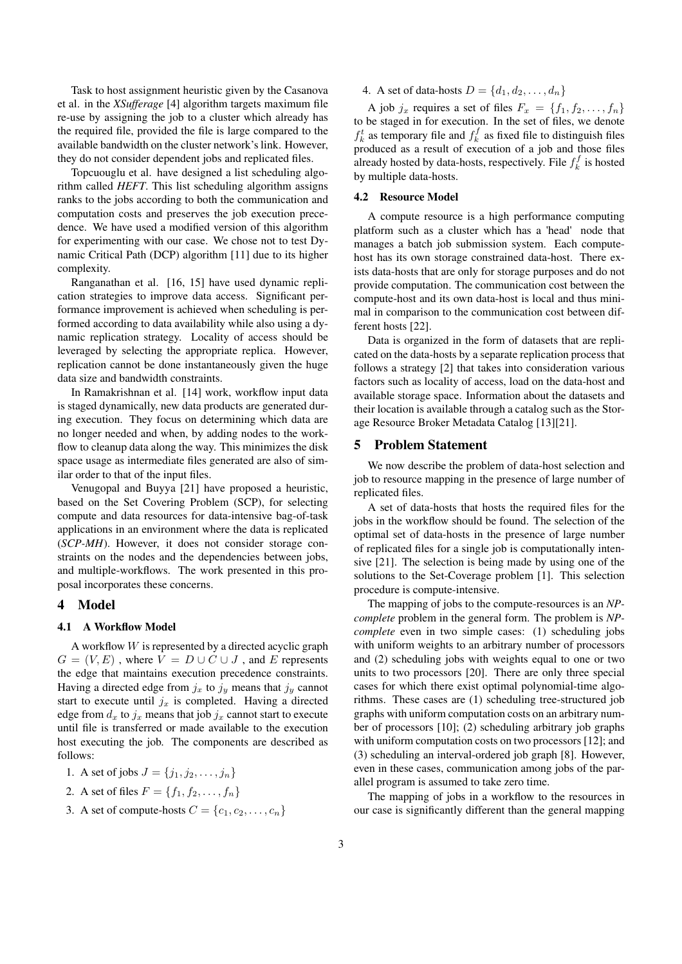Task to host assignment heuristic given by the Casanova et al. in the XSufferage [4] algorithm targets maximum file re-use by assigning the job to a cluster which already has the required file, provided the file is large compared to the available bandwidth on the cluster network's link. However, they do not consider dependent jobs and replicated files.

Topcuouglu et al. have designed a list scheduling algorithm called HEFT. This list scheduling algorithm assigns ranks to the jobs according to both the communication and computation costs and preserves the job execution precedence. We have used a modified version of this algorithm for experimenting with our case. We chose not to test Dynamic Critical Path (DCP) algorithm [11] due to its higher complexity.

Ranganathan et al. [16, 15] have used dynamic replication strategies to improve data access. Significant performance improvement is achieved when scheduling is performed according to data availability while also using a dynamic replication strategy. Locality of access should be leveraged by selecting the appropriate replica. However, replication cannot be done instantaneously given the huge data size and bandwidth constraints.

In Ramakrishnan et al. [14] work, workflow input data is staged dynamically, new data products are generated during execution. They focus on determining which data are no longer needed and when, by adding nodes to the workflow to cleanup data along the way. This minimizes the disk space usage as intermediate files generated are also of similar order to that of the input files.

Venugopal and Buyya [21] have proposed a heuristic, based on the Set Covering Problem (SCP), for selecting compute and data resources for data-intensive bag-of-task applications in an environment where the data is replicated (SCP-MH). However, it does not consider storage constraints on the nodes and the dependencies between jobs, and multiple-workflows. The work presented in this proposal incorporates these concerns.

### 4 Model

#### 4.1 A Workflow Model

A workflow W is represented by a directed acyclic graph  $G = (V, E)$ , where  $V = D \cup C \cup J$ , and E represents the edge that maintains execution precedence constraints. Having a directed edge from  $j_x$  to  $j_y$  means that  $j_y$  cannot start to execute until  $j_x$  is completed. Having a directed edge from  $d_x$  to  $j_x$  means that job  $j_x$  cannot start to execute until file is transferred or made available to the execution host executing the job. The components are described as follows:

- 1. A set of jobs  $J = \{j_1, j_2, ..., j_n\}$
- 2. A set of files  $F = \{f_1, f_2, \ldots, f_n\}$
- 3. A set of compute-hosts  $C = \{c_1, c_2, \ldots, c_n\}$

# 4. A set of data-hosts  $D = \{d_1, d_2, \ldots, d_n\}$

A job  $j_x$  requires a set of files  $F_x = \{f_1, f_2, \ldots, f_n\}$ to be staged in for execution. In the set of files, we denote  $f_k^t$  as temporary file and  $f_k^f$  as fixed file to distinguish files produced as a result of execution of a job and those files already hosted by data-hosts, respectively. File  $f_k^f$  is hosted by multiple data-hosts.

## 4.2 Resource Model

A compute resource is a high performance computing platform such as a cluster which has a 'head' node that manages a batch job submission system. Each computehost has its own storage constrained data-host. There exists data-hosts that are only for storage purposes and do not provide computation. The communication cost between the compute-host and its own data-host is local and thus minimal in comparison to the communication cost between different hosts [22].

Data is organized in the form of datasets that are replicated on the data-hosts by a separate replication process that follows a strategy [2] that takes into consideration various factors such as locality of access, load on the data-host and available storage space. Information about the datasets and their location is available through a catalog such as the Storage Resource Broker Metadata Catalog [13][21].

## 5 Problem Statement

We now describe the problem of data-host selection and job to resource mapping in the presence of large number of replicated files.

A set of data-hosts that hosts the required files for the jobs in the workflow should be found. The selection of the optimal set of data-hosts in the presence of large number of replicated files for a single job is computationally intensive [21]. The selection is being made by using one of the solutions to the Set-Coverage problem [1]. This selection procedure is compute-intensive.

The mapping of jobs to the compute-resources is an NPcomplete problem in the general form. The problem is NPcomplete even in two simple cases: (1) scheduling jobs with uniform weights to an arbitrary number of processors and (2) scheduling jobs with weights equal to one or two units to two processors [20]. There are only three special cases for which there exist optimal polynomial-time algorithms. These cases are (1) scheduling tree-structured job graphs with uniform computation costs on an arbitrary number of processors [10]; (2) scheduling arbitrary job graphs with uniform computation costs on two processors [12]; and (3) scheduling an interval-ordered job graph [8]. However, even in these cases, communication among jobs of the parallel program is assumed to take zero time.

The mapping of jobs in a workflow to the resources in our case is significantly different than the general mapping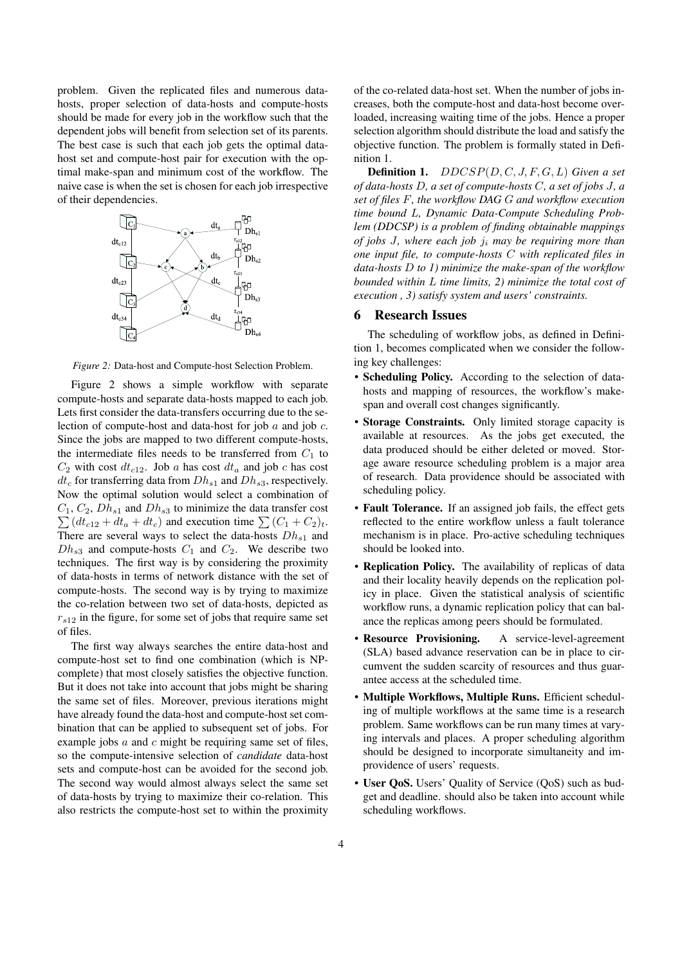problem. Given the replicated files and numerous datahosts, proper selection of data-hosts and compute-hosts should be made for every job in the workflow such that the dependent jobs will benefit from selection set of its parents. The best case is such that each job gets the optimal datahost set and compute-host pair for execution with the optimal make-span and minimum cost of the workflow. The naive case is when the set is chosen for each job irrespective of their dependencies.



Figure 2: Data-host and Compute-host Selection Problem.

Figure 2 shows a simple workflow with separate compute-hosts and separate data-hosts mapped to each job. Lets first consider the data-transfers occurring due to the selection of compute-host and data-host for job a and job c. Since the jobs are mapped to two different compute-hosts, the intermediate files needs to be transferred from  $C_1$  to  $C_2$  with cost  $dt_{c12}$ . Job a has cost  $dt_a$  and job c has cost  $dt_c$  for transferring data from  $Dh_{s1}$  and  $Dh_{s3}$ , respectively. Now the optimal solution would select a combination of  $\sum (dt_{c12} + dt_a + dt_c)$  and execution time  $\sum (C_1 + C_2)_t$ .  $C_1, C_2, Dh_{s1}$  and  $Dh_{s3}$  to minimize the data transfer cost There are several ways to select the data-hosts  $Dh_{s1}$  and  $Dh_{s3}$  and compute-hosts  $C_1$  and  $C_2$ . We describe two techniques. The first way is by considering the proximity of data-hosts in terms of network distance with the set of compute-hosts. The second way is by trying to maximize the co-relation between two set of data-hosts, depicted as  $r_{s12}$  in the figure, for some set of jobs that require same set of files.

The first way always searches the entire data-host and compute-host set to find one combination (which is NPcomplete) that most closely satisfies the objective function. But it does not take into account that jobs might be sharing the same set of files. Moreover, previous iterations might have already found the data-host and compute-host set combination that can be applied to subsequent set of jobs. For example jobs  $a$  and  $c$  might be requiring same set of files, so the compute-intensive selection of candidate data-host sets and compute-host can be avoided for the second job. The second way would almost always select the same set of data-hosts by trying to maximize their co-relation. This also restricts the compute-host set to within the proximity of the co-related data-host set. When the number of jobs increases, both the compute-host and data-host become overloaded, increasing waiting time of the jobs. Hence a proper selection algorithm should distribute the load and satisfy the objective function. The problem is formally stated in Definition 1.

**Definition 1.**  $DDCSP(D, C, J, F, G, L)$  Given a set of data-hosts D, a set of compute-hosts C, a set of jobs J, a set of files F, the workflow DAG G and workflow execution time bound L, Dynamic Data-Compute Scheduling Problem (DDCSP) is a problem of finding obtainable mappings of jobs J, where each job  $j_i$  may be requiring more than one input file, to compute-hosts C with replicated files in data-hosts  $D$  to  $I$ ) minimize the make-span of the workflow bounded within L time limits, 2) minimize the total cost of execution , 3) satisfy system and users' constraints.

#### 6 Research Issues

The scheduling of workflow jobs, as defined in Definition 1, becomes complicated when we consider the following key challenges:

- Scheduling Policy. According to the selection of datahosts and mapping of resources, the workflow's makespan and overall cost changes significantly.
- Storage Constraints. Only limited storage capacity is available at resources. As the jobs get executed, the data produced should be either deleted or moved. Storage aware resource scheduling problem is a major area of research. Data providence should be associated with scheduling policy.
- Fault Tolerance. If an assigned job fails, the effect gets reflected to the entire workflow unless a fault tolerance mechanism is in place. Pro-active scheduling techniques should be looked into.
- Replication Policy. The availability of replicas of data and their locality heavily depends on the replication policy in place. Given the statistical analysis of scientific workflow runs, a dynamic replication policy that can balance the replicas among peers should be formulated.
- Resource Provisioning. A service-level-agreement (SLA) based advance reservation can be in place to circumvent the sudden scarcity of resources and thus guarantee access at the scheduled time.
- Multiple Workflows, Multiple Runs. Efficient scheduling of multiple workflows at the same time is a research problem. Same workflows can be run many times at varying intervals and places. A proper scheduling algorithm should be designed to incorporate simultaneity and improvidence of users' requests.
- User QoS. Users' Quality of Service (QoS) such as budget and deadline. should also be taken into account while scheduling workflows.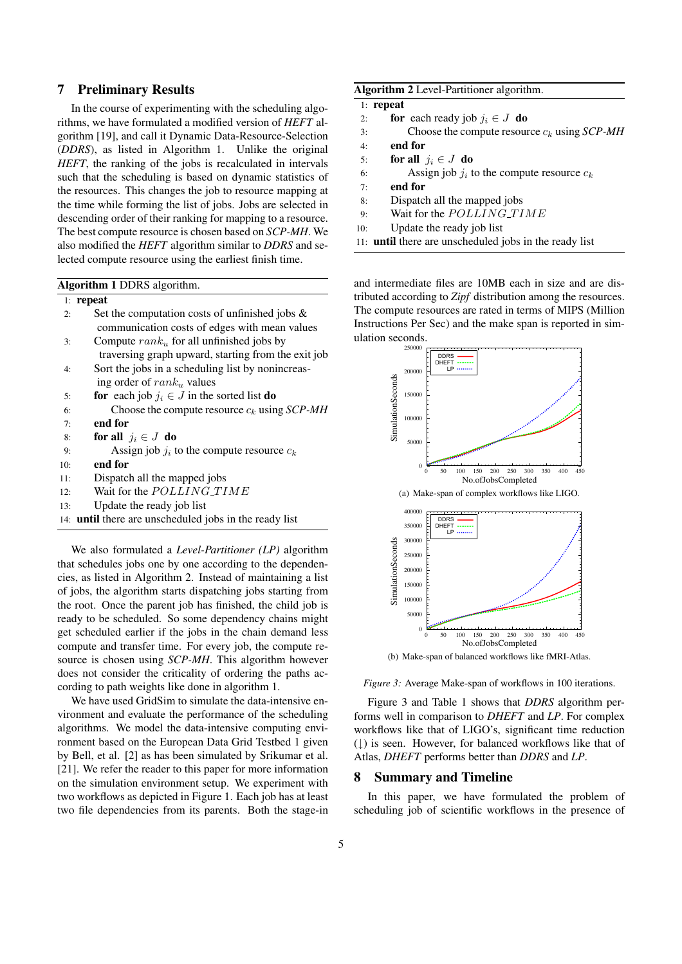## 7 Preliminary Results

In the course of experimenting with the scheduling algorithms, we have formulated a modified version of HEFT algorithm [19], and call it Dynamic Data-Resource-Selection (DDRS), as listed in Algorithm 1. Unlike the original HEFT, the ranking of the jobs is recalculated in intervals such that the scheduling is based on dynamic statistics of the resources. This changes the job to resource mapping at the time while forming the list of jobs. Jobs are selected in descending order of their ranking for mapping to a resource. The best compute resource is chosen based on SCP-MH. We also modified the HEFT algorithm similar to DDRS and selected compute resource using the earliest finish time.

| <b>Algorithm 1 DDRS</b> algorithm. |  |  |
|------------------------------------|--|--|
|------------------------------------|--|--|

#### 1: repeat

- 2: Set the computation costs of unfinished jobs & communication costs of edges with mean values
- 3: Compute  $rank_u$  for all unfinished jobs by traversing graph upward, starting from the exit job 4: Sort the jobs in a scheduling list by nonincreas-
- ing order of  $rank_u$  values
- 5: **for** each job  $j_i \in J$  in the sorted list **do**
- 6: Choose the compute resource  $c_k$  using  $\mathcal{S}CP\text{-}MH$
- 7: end for
- 8: for all  $j_i \in J$  do
- 9: Assign job  $j_i$  to the compute resource  $c_k$
- 10: end for
- 11: Dispatch all the mapped jobs
- 12: Wait for the POLLING\_TIME
- 13: Update the ready job list
- 14: until there are unscheduled jobs in the ready list

We also formulated a *Level-Partitioner* (*LP*) algorithm that schedules jobs one by one according to the dependencies, as listed in Algorithm 2. Instead of maintaining a list of jobs, the algorithm starts dispatching jobs starting from the root. Once the parent job has finished, the child job is ready to be scheduled. So some dependency chains might get scheduled earlier if the jobs in the chain demand less compute and transfer time. For every job, the compute resource is chosen using SCP-MH. This algorithm however does not consider the criticality of ordering the paths according to path weights like done in algorithm 1.

We have used GridSim to simulate the data-intensive environment and evaluate the performance of the scheduling algorithms. We model the data-intensive computing environment based on the European Data Grid Testbed 1 given by Bell, et al. [2] as has been simulated by Srikumar et al. [21]. We refer the reader to this paper for more information on the simulation environment setup. We experiment with two workflows as depicted in Figure 1. Each job has at least two file dependencies from its parents. Both the stage-in

|  | Algorithm 2 Level-Partitioner algorithm. |  |
|--|------------------------------------------|--|
|--|------------------------------------------|--|

|     | $1:$ repeat |          |
|-----|-------------|----------|
| 2.5 |             | for each |

- ready job  $j_i \in J$  do
- 3: Choose the compute resource  $c_k$  using  $SCP-MH$
- 4: end for
- 5: for all  $j_i \in J$  do
- 6: Assign job  $j_i$  to the compute resource  $c_k$
- 7: end for
- 8: Dispatch all the mapped jobs
- 9: Wait for the  $POLLING\_TIME$
- 10: Update the ready job list
- 11: until there are unscheduled jobs in the ready list

and intermediate files are 10MB each in size and are distributed according to Zipf distribution among the resources. The compute resources are rated in terms of MIPS (Million Instructions Per Sec) and the make span is reported in simulation seconds.





Figure 3: Average Make-span of workflows in 100 iterations.

Figure 3 and Table 1 shows that DDRS algorithm performs well in comparison to DHEFT and LP. For complex workflows like that of LIGO's, significant time reduction (↓) is seen. However, for balanced workflows like that of Atlas, DHEFT performs better than DDRS and LP.

#### 8 Summary and Timeline

In this paper, we have formulated the problem of scheduling job of scientific workflows in the presence of